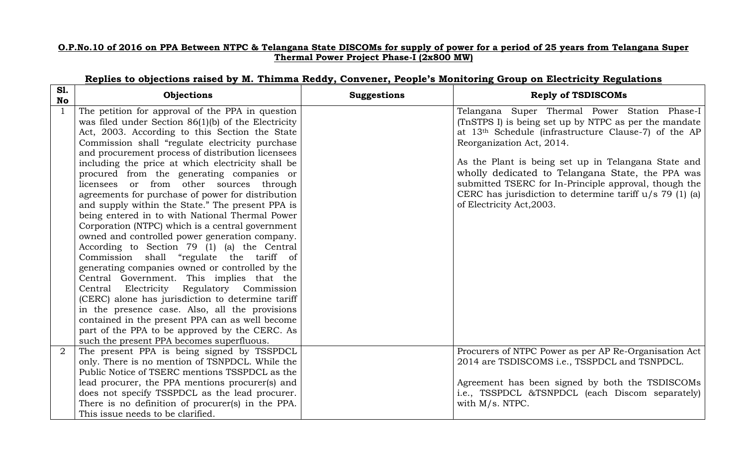## **O.P.No.10 of 2016 on PPA Between NTPC & Telangana State DISCOMs for supply of power for a period of 25 years from Telangana Super Thermal Power Project Phase-I (2x800 MW)**

| <b>S1.</b><br>No | Objections                                            | <b>Suggestions</b> | <b>Reply of TSDISCOMs</b>                                        |
|------------------|-------------------------------------------------------|--------------------|------------------------------------------------------------------|
|                  | The petition for approval of the PPA in question      |                    | Telangana Super Thermal Power Station Phase-I                    |
|                  | was filed under Section $86(1)(b)$ of the Electricity |                    | (TnSTPS I) is being set up by NTPC as per the mandate            |
|                  | Act, 2003. According to this Section the State        |                    | at 13 <sup>th</sup> Schedule (infrastructure Clause-7) of the AP |
|                  | Commission shall "regulate electricity purchase       |                    | Reorganization Act, 2014.                                        |
|                  | and procurement process of distribution licensees     |                    |                                                                  |
|                  | including the price at which electricity shall be     |                    | As the Plant is being set up in Telangana State and              |
|                  | procured from the generating companies or             |                    | wholly dedicated to Telangana State, the PPA was                 |
|                  | licensees or from other sources through               |                    | submitted TSERC for In-Principle approval, though the            |
|                  | agreements for purchase of power for distribution     |                    | CERC has jurisdiction to determine tariff $u/s$ 79 (1) (a)       |
|                  | and supply within the State." The present PPA is      |                    | of Electricity Act, 2003.                                        |
|                  | being entered in to with National Thermal Power       |                    |                                                                  |
|                  | Corporation (NTPC) which is a central government      |                    |                                                                  |
|                  | owned and controlled power generation company.        |                    |                                                                  |
|                  | According to Section 79 (1) (a) the Central           |                    |                                                                  |
|                  | Commission shall "regulate the tariff of              |                    |                                                                  |
|                  | generating companies owned or controlled by the       |                    |                                                                  |
|                  | Central Government. This implies that the             |                    |                                                                  |
|                  | Central Electricity Regulatory Commission             |                    |                                                                  |
|                  | (CERC) alone has jurisdiction to determine tariff     |                    |                                                                  |
|                  | in the presence case. Also, all the provisions        |                    |                                                                  |
|                  | contained in the present PPA can as well become       |                    |                                                                  |
|                  | part of the PPA to be approved by the CERC. As        |                    |                                                                  |
|                  | such the present PPA becomes superfluous.             |                    |                                                                  |
| 2                | The present PPA is being signed by TSSPDCL            |                    | Procurers of NTPC Power as per AP Re-Organisation Act            |
|                  | only. There is no mention of TSNPDCL. While the       |                    | 2014 are TSDISCOMS i.e., TSSPDCL and TSNPDCL.                    |
|                  | Public Notice of TSERC mentions TSSPDCL as the        |                    |                                                                  |
|                  | lead procurer, the PPA mentions procurer(s) and       |                    | Agreement has been signed by both the TSDISCOMs                  |
|                  | does not specify TSSPDCL as the lead procurer.        |                    | i.e., TSSPDCL &TSNPDCL (each Discom separately)                  |
|                  | There is no definition of procurer(s) in the PPA.     |                    | with $M/s$ . NTPC.                                               |
|                  | This issue needs to be clarified.                     |                    |                                                                  |

## **Replies to objections raised by M. Thimma Reddy, Convener, People's Monitoring Group on Electricity Regulations**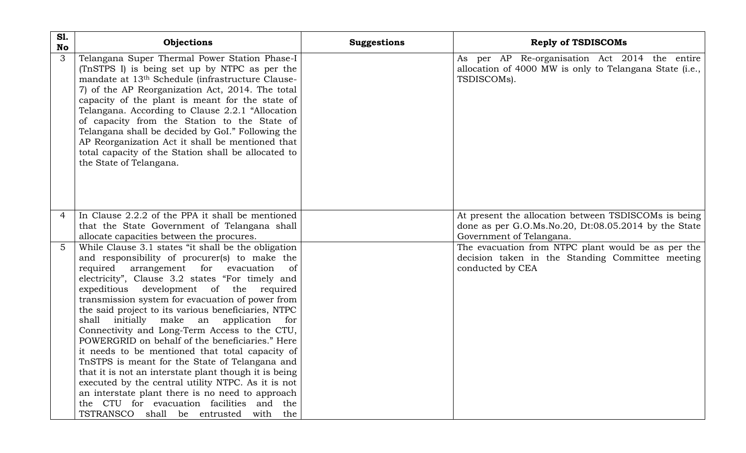| <b>S1.</b><br><b>No</b> | Objections                                                                                                                                                                                                                                                                                                                                                                                                                                                                                                                                                                                                                                                                                                                                                                                                                                                                          | <b>Suggestions</b> | <b>Reply of TSDISCOMs</b>                                                                                                                |
|-------------------------|-------------------------------------------------------------------------------------------------------------------------------------------------------------------------------------------------------------------------------------------------------------------------------------------------------------------------------------------------------------------------------------------------------------------------------------------------------------------------------------------------------------------------------------------------------------------------------------------------------------------------------------------------------------------------------------------------------------------------------------------------------------------------------------------------------------------------------------------------------------------------------------|--------------------|------------------------------------------------------------------------------------------------------------------------------------------|
| 3                       | Telangana Super Thermal Power Station Phase-I<br>(TnSTPS I) is being set up by NTPC as per the<br>mandate at 13 <sup>th</sup> Schedule (infrastructure Clause-<br>7) of the AP Reorganization Act, 2014. The total<br>capacity of the plant is meant for the state of<br>Telangana. According to Clause 2.2.1 "Allocation<br>of capacity from the Station to the State of<br>Telangana shall be decided by GoI." Following the<br>AP Reorganization Act it shall be mentioned that<br>total capacity of the Station shall be allocated to<br>the State of Telangana.                                                                                                                                                                                                                                                                                                                |                    | As per AP Re-organisation Act 2014 the entire<br>allocation of 4000 MW is only to Telangana State (i.e.,<br>TSDISCOMs).                  |
| 4                       | In Clause 2.2.2 of the PPA it shall be mentioned<br>that the State Government of Telangana shall<br>allocate capacities between the procures.                                                                                                                                                                                                                                                                                                                                                                                                                                                                                                                                                                                                                                                                                                                                       |                    | At present the allocation between TSDISCOMs is being<br>done as per G.O.Ms.No.20, Dt:08.05.2014 by the State<br>Government of Telangana. |
| 5                       | While Clause 3.1 states "it shall be the obligation<br>and responsibility of procurer(s) to make the<br>required arrangement for evacuation<br>of<br>electricity", Clause 3.2 states "For timely and<br>development of the required<br>expeditious<br>transmission system for evacuation of power from<br>the said project to its various beneficiaries, NTPC<br>shall initially make an application for<br>Connectivity and Long-Term Access to the CTU,<br>POWERGRID on behalf of the beneficiaries." Here<br>it needs to be mentioned that total capacity of<br>TnSTPS is meant for the State of Telangana and<br>that it is not an interstate plant though it is being<br>executed by the central utility NTPC. As it is not<br>an interstate plant there is no need to approach<br>the CTU for evacuation facilities and the<br>TSTRANSCO<br>shall be entrusted<br>with<br>the |                    | The evacuation from NTPC plant would be as per the<br>decision taken in the Standing Committee meeting<br>conducted by CEA               |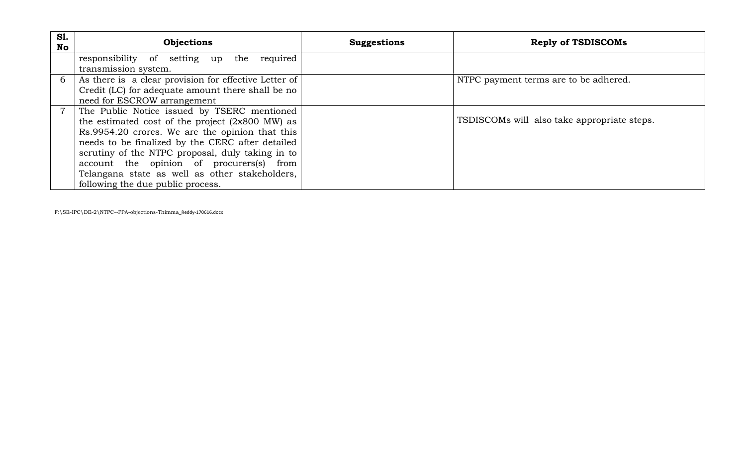| <b>S1.</b><br>No | <b>Objections</b>                                         | <b>Suggestions</b> | <b>Reply of TSDISCOMs</b>                   |
|------------------|-----------------------------------------------------------|--------------------|---------------------------------------------|
|                  | responsibility of setting up the required                 |                    |                                             |
|                  | transmission system.                                      |                    |                                             |
| 6                | As there is a clear provision for effective Letter of     |                    | NTPC payment terms are to be adhered.       |
|                  | Credit (LC) for adequate amount there shall be no         |                    |                                             |
|                  | need for ESCROW arrangement                               |                    |                                             |
|                  | The Public Notice issued by TSERC mentioned               |                    |                                             |
|                  | the estimated cost of the project $(2x800 \text{ MW})$ as |                    | TSDISCOMs will also take appropriate steps. |
|                  | Rs.9954.20 crores. We are the opinion that this           |                    |                                             |
|                  | needs to be finalized by the CERC after detailed          |                    |                                             |
|                  | scrutiny of the NTPC proposal, duly taking in to          |                    |                                             |
|                  | account the opinion of procurers(s) from                  |                    |                                             |
|                  | Telangana state as well as other stakeholders,            |                    |                                             |
|                  | following the due public process.                         |                    |                                             |

F:\SE-IPC\DE-2\NTPC--PPA-objections-Thimma\_Reddy-170616.docx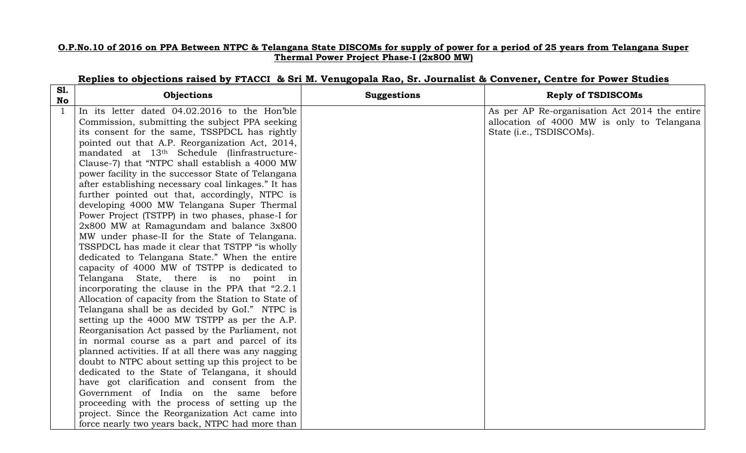## **O.P.No.10 of 2016 on PPA Between NTPC & Telangana State DISCOMs for supply of power for a period of 25 years from Telangana Super Thermal Power Project Phase-I (2x800 MW)**

| <b>S1.</b><br><b>No</b> | Objections                                          | <b>Suggestions</b> | <b>Reply of TSDISCOMs</b>                     |
|-------------------------|-----------------------------------------------------|--------------------|-----------------------------------------------|
| $\mathbf{1}$            | In its letter dated 04.02.2016 to the Hon'ble       |                    | As per AP Re-organisation Act 2014 the entire |
|                         | Commission, submitting the subject PPA seeking      |                    | allocation of 4000 MW is only to Telangana    |
|                         | its consent for the same, TSSPDCL has rightly       |                    | State ( <i>i.e.</i> , TSDISCOMs).             |
|                         | pointed out that A.P. Reorganization Act, 2014,     |                    |                                               |
|                         | mandated at 13th Schedule (linfrastructure-         |                    |                                               |
|                         | Clause-7) that "NTPC shall establish a 4000 MW      |                    |                                               |
|                         | power facility in the successor State of Telangana  |                    |                                               |
|                         | after establishing necessary coal linkages." It has |                    |                                               |
|                         | further pointed out that, accordingly, NTPC is      |                    |                                               |
|                         | developing 4000 MW Telangana Super Thermal          |                    |                                               |
|                         | Power Project (TSTPP) in two phases, phase-I for    |                    |                                               |
|                         | $2x800$ MW at Ramagundam and balance $3x800$        |                    |                                               |
|                         | MW under phase-II for the State of Telangana.       |                    |                                               |
|                         | TSSPDCL has made it clear that TSTPP "is wholly     |                    |                                               |
|                         | dedicated to Telangana State." When the entire      |                    |                                               |
|                         | capacity of 4000 MW of TSTPP is dedicated to        |                    |                                               |
|                         | Telangana State, there is no point in               |                    |                                               |
|                         | incorporating the clause in the PPA that "2.2.1"    |                    |                                               |
|                         | Allocation of capacity from the Station to State of |                    |                                               |
|                         | Telangana shall be as decided by GoI." NTPC is      |                    |                                               |
|                         | setting up the 4000 MW TSTPP as per the A.P.        |                    |                                               |
|                         | Reorganisation Act passed by the Parliament, not    |                    |                                               |
|                         | in normal course as a part and parcel of its        |                    |                                               |
|                         | planned activities. If at all there was any nagging |                    |                                               |
|                         | doubt to NTPC about setting up this project to be   |                    |                                               |
|                         | dedicated to the State of Telangana, it should      |                    |                                               |
|                         | have got clarification and consent from the         |                    |                                               |
|                         | Government of India on the same before              |                    |                                               |
|                         | proceeding with the process of setting up the       |                    |                                               |
|                         | project. Since the Reorganization Act came into     |                    |                                               |
|                         | force nearly two years back, NTPC had more than     |                    |                                               |

## **Replies to objections raised by FTACCI & Sri M. Venugopala Rao, Sr. Journalist & Convener, Centre for Power Studies**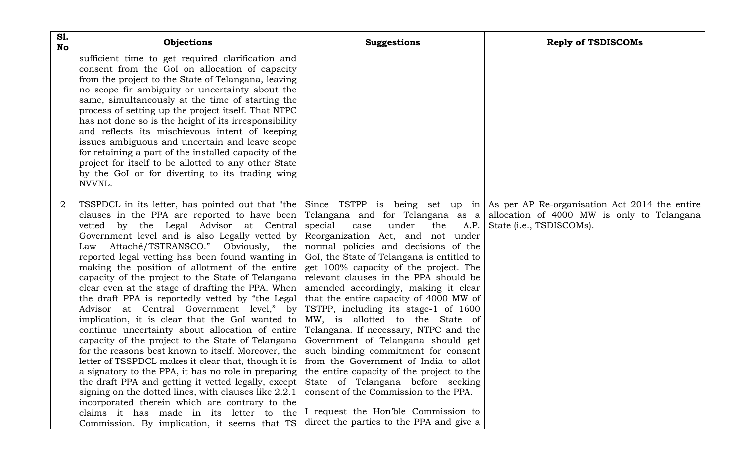| <b>S1.</b><br><b>No</b> | Objections                                                                                                                                                                                                                                                                                                                                                                                                                                                                                                                                                                                                                                                                                                                                                                                                                                                                                                                                                                                                                                                                                                                                                                                                                                                                                                                                                                                                   | <b>Suggestions</b>                                                                                                                                                                                                                                                                                                                                                                                                                                                                                                                                                                                                                                                                                 | <b>Reply of TSDISCOMs</b> |
|-------------------------|--------------------------------------------------------------------------------------------------------------------------------------------------------------------------------------------------------------------------------------------------------------------------------------------------------------------------------------------------------------------------------------------------------------------------------------------------------------------------------------------------------------------------------------------------------------------------------------------------------------------------------------------------------------------------------------------------------------------------------------------------------------------------------------------------------------------------------------------------------------------------------------------------------------------------------------------------------------------------------------------------------------------------------------------------------------------------------------------------------------------------------------------------------------------------------------------------------------------------------------------------------------------------------------------------------------------------------------------------------------------------------------------------------------|----------------------------------------------------------------------------------------------------------------------------------------------------------------------------------------------------------------------------------------------------------------------------------------------------------------------------------------------------------------------------------------------------------------------------------------------------------------------------------------------------------------------------------------------------------------------------------------------------------------------------------------------------------------------------------------------------|---------------------------|
|                         | sufficient time to get required clarification and<br>consent from the GoI on allocation of capacity<br>from the project to the State of Telangana, leaving<br>no scope fir ambiguity or uncertainty about the<br>same, simultaneously at the time of starting the<br>process of setting up the project itself. That NTPC<br>has not done so is the height of its irresponsibility<br>and reflects its mischievous intent of keeping<br>issues ambiguous and uncertain and leave scope<br>for retaining a part of the installed capacity of the<br>project for itself to be allotted to any other State<br>by the GoI or for diverting to its trading wing<br>NVVNL.                                                                                                                                                                                                                                                                                                                                                                                                                                                                                                                                                                                                                                                                                                                                          |                                                                                                                                                                                                                                                                                                                                                                                                                                                                                                                                                                                                                                                                                                    |                           |
|                         | TSSPDCL in its letter, has pointed out that "the $ \text{Since TSTPP} \$ is being set up in As per AP Re-organisation Act 2014 the entire<br>clauses in the PPA are reported to have been Telangana and for Telangana as a allocation of 4000 MW is only to Telangana<br>vetted by the Legal Advisor at Central special<br>Government level and is also Legally vetted by<br>Law Attaché/TSTRANSCO." Obviously, the<br>reported legal vetting has been found wanting in<br>making the position of allotment of the entire<br>capacity of the project to the State of Telangana<br>clear even at the stage of drafting the PPA. When<br>the draft PPA is reportedly vetted by "the Legal<br>Advisor at Central Government level," by TSTPP, including its stage-1 of 1600<br>implication, it is clear that the GoI wanted to<br>continue uncertainty about allocation of entire<br>capacity of the project to the State of Telangana<br>for the reasons best known to itself. Moreover, the<br>letter of TSSPDCL makes it clear that, though it is   from the Government of India to allot<br>a signatory to the PPA, it has no role in preparing<br>the draft PPA and getting it vetted legally, except<br>signing on the dotted lines, with clauses like 2.2.1<br>incorporated therein which are contrary to the<br>claims it has made in its letter to the<br>Commission. By implication, it seems that TS | under<br>the<br>A.P.<br>case<br>Reorganization Act, and not under<br>normal policies and decisions of the<br>GoI, the State of Telangana is entitled to<br>get 100% capacity of the project. The<br>relevant clauses in the PPA should be<br>amended accordingly, making it clear<br>that the entire capacity of 4000 MW of<br>MW, is allotted to the State of<br>Telangana. If necessary, NTPC and the<br>Government of Telangana should get<br>such binding commitment for consent<br>the entire capacity of the project to the<br>State of Telangana before seeking<br>consent of the Commission to the PPA.<br>I request the Hon'ble Commission to<br>direct the parties to the PPA and give a | State (i.e., TSDISCOMs).  |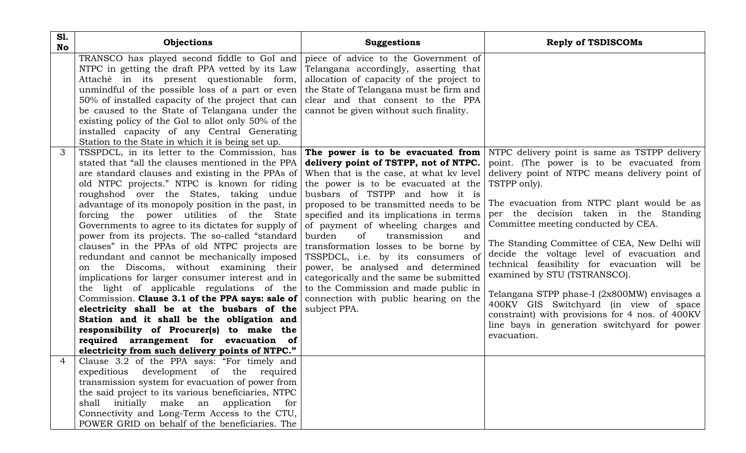| <b>S1.</b><br><b>No</b> | Objections                                                                                             | <b>Suggestions</b>                                                                   | <b>Reply of TSDISCOMs</b>                                                                       |
|-------------------------|--------------------------------------------------------------------------------------------------------|--------------------------------------------------------------------------------------|-------------------------------------------------------------------------------------------------|
|                         | TRANSCO has played second fiddle to GoI and                                                            | piece of advice to the Government of                                                 |                                                                                                 |
|                         | NTPC in getting the draft PPA vetted by its Law<br>Attaché in its present questionable form,           | Telangana accordingly, asserting that<br>allocation of capacity of the project to    |                                                                                                 |
|                         | unmindful of the possible loss of a part or even                                                       | the State of Telangana must be firm and                                              |                                                                                                 |
|                         | 50% of installed capacity of the project that can                                                      | clear and that consent to the PPA                                                    |                                                                                                 |
|                         | be caused to the State of Telangana under the                                                          | cannot be given without such finality.                                               |                                                                                                 |
|                         | existing policy of the GoI to allot only 50% of the                                                    |                                                                                      |                                                                                                 |
|                         | installed capacity of any Central Generating                                                           |                                                                                      |                                                                                                 |
|                         | Station to the State in which it is being set up.                                                      |                                                                                      |                                                                                                 |
| 3                       | TSSPDCL, in its letter to the Commission, has                                                          |                                                                                      | The power is to be evacuated from NTPC delivery point is same as TSTPP delivery                 |
|                         | stated that "all the clauses mentioned in the PPA                                                      | delivery point of TSTPP, not of NTPC.                                                | point. (The power is to be evacuated from                                                       |
|                         | are standard clauses and existing in the PPAs of                                                       | When that is the case, at what ky level                                              | delivery point of NTPC means delivery point of                                                  |
|                         | old NTPC projects." NTPC is known for riding                                                           | the power is to be evacuated at the $TSTPP$ only).                                   |                                                                                                 |
|                         | roughshod over the States, taking undue                                                                | busbars of TSTPP and how it is                                                       |                                                                                                 |
|                         | advantage of its monopoly position in the past, in                                                     | proposed to be transmitted needs to be                                               | The evacuation from NTPC plant would be as<br>per the decision taken in the Standing            |
|                         | forcing the power utilities of the State                                                               | specified and its implications in terms                                              | Committee meeting conducted by CEA.                                                             |
|                         | Governments to agree to its dictates for supply of<br>power from its projects. The so-called "standard | of payment of wheeling charges and<br>burden<br><sub>of</sub><br>transmission<br>and |                                                                                                 |
|                         | clauses" in the PPAs of old NTPC projects are                                                          | transformation losses to be borne by                                                 | The Standing Committee of CEA, New Delhi will                                                   |
|                         | redundant and cannot be mechanically imposed                                                           | TSSPDCL, i.e. by its consumers of                                                    | decide the voltage level of evacuation and                                                      |
|                         | on the Discoms, without examining their                                                                | power, be analysed and determined                                                    | technical feasibility for evacuation will be                                                    |
|                         | implications for larger consumer interest and in                                                       | categorically and the same be submitted                                              | examined by STU (TSTRANSCO).                                                                    |
|                         | the light of applicable regulations of the                                                             | to the Commission and made public in                                                 |                                                                                                 |
|                         | Commission. Clause 3.1 of the PPA says: sale of                                                        | connection with public hearing on the                                                | Telangana STPP phase-I (2x800MW) envisages a                                                    |
|                         | electricity shall be at the busbars of the                                                             | subject PPA.                                                                         | 400KV GIS Switchyard (in view of space                                                          |
|                         | Station and it shall be the obligation and                                                             |                                                                                      | constraint) with provisions for 4 nos. of 400KV<br>line bays in generation switchyard for power |
|                         | responsibility of Procurer(s) to make the                                                              |                                                                                      | evacuation.                                                                                     |
|                         | required arrangement for evacuation of                                                                 |                                                                                      |                                                                                                 |
|                         | electricity from such delivery points of NTPC."                                                        |                                                                                      |                                                                                                 |
|                         | Clause 3.2 of the PPA says: "For timely and                                                            |                                                                                      |                                                                                                 |
|                         | expeditious development of the required                                                                |                                                                                      |                                                                                                 |
|                         | transmission system for evacuation of power from                                                       |                                                                                      |                                                                                                 |
|                         | the said project to its various beneficiaries, NTPC                                                    |                                                                                      |                                                                                                 |
|                         | shall initially make an application for<br>Connectivity and Long-Term Access to the CTU,               |                                                                                      |                                                                                                 |
|                         | POWER GRID on behalf of the beneficiaries. The                                                         |                                                                                      |                                                                                                 |
|                         |                                                                                                        |                                                                                      |                                                                                                 |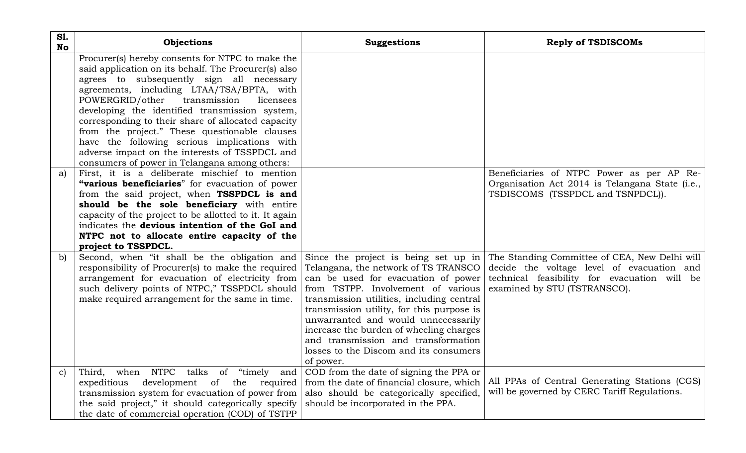| <b>S1.</b><br><b>No</b> | Objections                                                                                                                                                                                                                                                                                                                                                                                                                                                                                                                                                  | <b>Suggestions</b>                                                                                                                                                                                                                                                                                                                                                                          | <b>Reply of TSDISCOMs</b>                                                                                                                                                                                        |
|-------------------------|-------------------------------------------------------------------------------------------------------------------------------------------------------------------------------------------------------------------------------------------------------------------------------------------------------------------------------------------------------------------------------------------------------------------------------------------------------------------------------------------------------------------------------------------------------------|---------------------------------------------------------------------------------------------------------------------------------------------------------------------------------------------------------------------------------------------------------------------------------------------------------------------------------------------------------------------------------------------|------------------------------------------------------------------------------------------------------------------------------------------------------------------------------------------------------------------|
|                         | Procurer(s) hereby consents for NTPC to make the<br>said application on its behalf. The Procurer(s) also<br>agrees to subsequently sign all necessary<br>agreements, including LTAA/TSA/BPTA, with<br>POWERGRID/other transmission<br>licensees<br>developing the identified transmission system,<br>corresponding to their share of allocated capacity<br>from the project." These questionable clauses<br>have the following serious implications with<br>adverse impact on the interests of TSSPDCL and<br>consumers of power in Telangana among others: |                                                                                                                                                                                                                                                                                                                                                                                             |                                                                                                                                                                                                                  |
| a)                      | First, it is a deliberate mischief to mention<br>"various beneficiaries" for evacuation of power<br>from the said project, when TSSPDCL is and<br>should be the sole beneficiary with entire<br>capacity of the project to be allotted to it. It again<br>indicates the devious intention of the GoI and<br>NTPC not to allocate entire capacity of the<br>project to TSSPDCL.                                                                                                                                                                              |                                                                                                                                                                                                                                                                                                                                                                                             | Beneficiaries of NTPC Power as per AP Re-<br>Organisation Act 2014 is Telangana State (i.e.,<br>TSDISCOMS (TSSPDCL and TSNPDCL)).                                                                                |
| $\mathbf{b}$            | Second, when "it shall be the obligation and<br>responsibility of Procurer(s) to make the required<br>arrangement for evacuation of electricity from<br>such delivery points of NTPC," TSSPDCL should<br>make required arrangement for the same in time.                                                                                                                                                                                                                                                                                                    | Telangana, the network of TS TRANSCO<br>can be used for evacuation of power<br>from TSTPP. Involvement of various<br>transmission utilities, including central<br>transmission utility, for this purpose is<br>unwarranted and would unnecessarily<br>increase the burden of wheeling charges<br>and transmission and transformation<br>losses to the Discom and its consumers<br>of power. | Since the project is being set up in The Standing Committee of CEA, New Delhi will<br>decide the voltage level of evacuation and<br>technical feasibility for evacuation will be<br>examined by STU (TSTRANSCO). |
| $\mathbf{C}$            | of "timely<br>NTPC<br>talks<br>Third,<br>when<br>and<br>expeditious<br>development<br>of the required<br>transmission system for evacuation of power from<br>the said project," it should categorically specify<br>the date of commercial operation (COD) of TSTPP                                                                                                                                                                                                                                                                                          | COD from the date of signing the PPA or<br>from the date of financial closure, which<br>also should be categorically specified,<br>should be incorporated in the PPA.                                                                                                                                                                                                                       | All PPAs of Central Generating Stations (CGS)<br>will be governed by CERC Tariff Regulations.                                                                                                                    |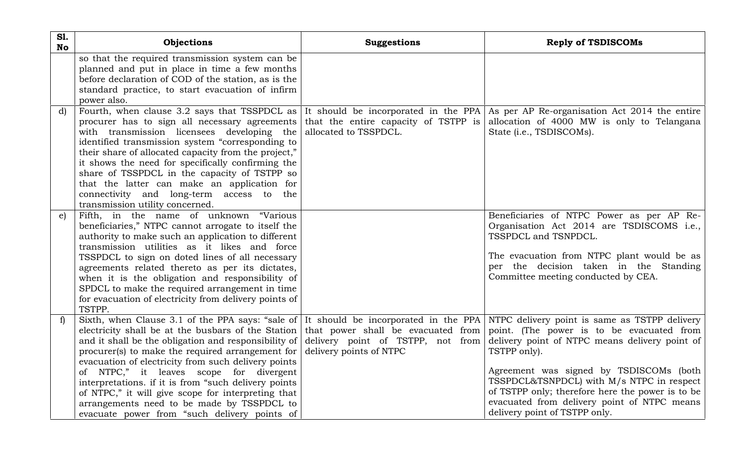| <b>S1.</b><br>No | Objections                                                                                                                            | <b>Suggestions</b>      | <b>Reply of TSDISCOMs</b>                                                          |
|------------------|---------------------------------------------------------------------------------------------------------------------------------------|-------------------------|------------------------------------------------------------------------------------|
|                  | so that the required transmission system can be                                                                                       |                         |                                                                                    |
|                  | planned and put in place in time a few months                                                                                         |                         |                                                                                    |
|                  | before declaration of COD of the station, as is the                                                                                   |                         |                                                                                    |
|                  | standard practice, to start evacuation of infirm                                                                                      |                         |                                                                                    |
|                  | power also.                                                                                                                           |                         |                                                                                    |
| $\mathbf{d}$     | Fourth, when clause 3.2 says that TSSPDCL as                                                                                          |                         | It should be incorporated in the PPA As per AP Re-organisation Act 2014 the entire |
|                  | procurer has to sign all necessary agreements                                                                                         |                         | that the entire capacity of TSTPP is allocation of 4000 MW is only to Telangana    |
|                  | with transmission licensees developing the                                                                                            | allocated to TSSPDCL.   | State (i.e., TSDISCOMs).                                                           |
|                  | identified transmission system "corresponding to                                                                                      |                         |                                                                                    |
|                  | their share of allocated capacity from the project,"                                                                                  |                         |                                                                                    |
|                  | it shows the need for specifically confirming the                                                                                     |                         |                                                                                    |
|                  | share of TSSPDCL in the capacity of TSTPP so                                                                                          |                         |                                                                                    |
|                  | that the latter can make an application for                                                                                           |                         |                                                                                    |
|                  | connectivity and long-term access to the                                                                                              |                         |                                                                                    |
|                  | transmission utility concerned.                                                                                                       |                         |                                                                                    |
| e)               | Fifth, in the name of unknown "Various                                                                                                |                         | Beneficiaries of NTPC Power as per AP Re-                                          |
|                  | beneficiaries," NTPC cannot arrogate to itself the                                                                                    |                         | Organisation Act 2014 are TSDISCOMS i.e.,                                          |
|                  | authority to make such an application to different                                                                                    |                         | TSSPDCL and TSNPDCL.                                                               |
|                  | transmission utilities as it likes and force                                                                                          |                         |                                                                                    |
|                  | TSSPDCL to sign on doted lines of all necessary                                                                                       |                         | The evacuation from NTPC plant would be as                                         |
|                  | agreements related thereto as per its dictates,                                                                                       |                         | per the decision taken in the Standing                                             |
|                  | when it is the obligation and responsibility of                                                                                       |                         | Committee meeting conducted by CEA.                                                |
|                  | SPDCL to make the required arrangement in time                                                                                        |                         |                                                                                    |
|                  | for evacuation of electricity from delivery points of                                                                                 |                         |                                                                                    |
|                  | TSTPP.                                                                                                                                |                         |                                                                                    |
| $\mathbf{f}$     | Sixth, when Clause 3.1 of the PPA says: "sale of It should be incorporated in the PPA NTPC delivery point is same as TSTPP delivery   |                         |                                                                                    |
|                  | electricity shall be at the busbars of the Station that power shall be evacuated from point. (The power is to be evacuated from       |                         |                                                                                    |
|                  | and it shall be the obligation and responsibility of delivery point of TSTPP, not from delivery point of NTPC means delivery point of |                         |                                                                                    |
|                  | procurer(s) to make the required arrangement for                                                                                      | delivery points of NTPC | TSTPP only).                                                                       |
|                  | evacuation of electricity from such delivery points                                                                                   |                         |                                                                                    |
|                  | of NTPC," it leaves scope for divergent                                                                                               |                         | Agreement was signed by TSDISCOMs (both                                            |
|                  | interpretations. if it is from "such delivery points                                                                                  |                         | TSSPDCL&TSNPDCL) with M/s NTPC in respect                                          |
|                  | of NTPC," it will give scope for interpreting that                                                                                    |                         | of TSTPP only; therefore here the power is to be                                   |
|                  | arrangements need to be made by TSSPDCL to                                                                                            |                         | evacuated from delivery point of NTPC means                                        |
|                  | evacuate power from "such delivery points of                                                                                          |                         | delivery point of TSTPP only.                                                      |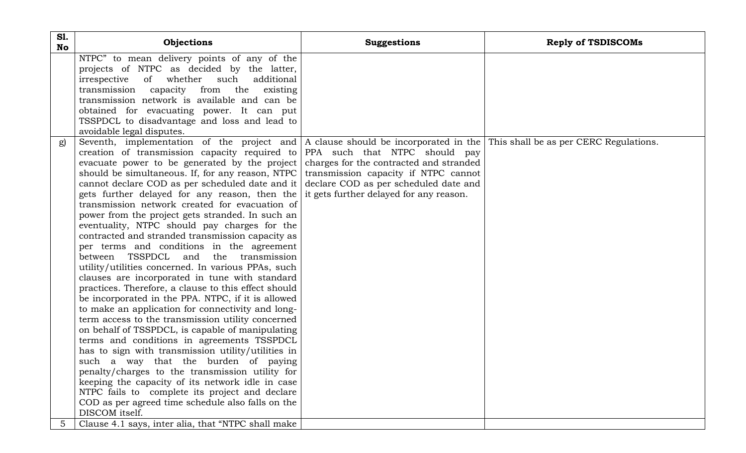| <b>S1.</b><br>No | Objections                                                                                                                                                                                                                                                                                                                                                                                                                                                                                                                                                                                                                                                                                                                                                                                                                                                                                                                                                                                                                                                                                                                                                                                                                                                                                                                                                                                                                                                                                                                            | <b>Suggestions</b>                                                                                                                                                  | <b>Reply of TSDISCOMs</b> |
|------------------|---------------------------------------------------------------------------------------------------------------------------------------------------------------------------------------------------------------------------------------------------------------------------------------------------------------------------------------------------------------------------------------------------------------------------------------------------------------------------------------------------------------------------------------------------------------------------------------------------------------------------------------------------------------------------------------------------------------------------------------------------------------------------------------------------------------------------------------------------------------------------------------------------------------------------------------------------------------------------------------------------------------------------------------------------------------------------------------------------------------------------------------------------------------------------------------------------------------------------------------------------------------------------------------------------------------------------------------------------------------------------------------------------------------------------------------------------------------------------------------------------------------------------------------|---------------------------------------------------------------------------------------------------------------------------------------------------------------------|---------------------------|
|                  | NTPC" to mean delivery points of any of the<br>projects of NTPC as decided by the latter,<br>of whether such<br>additional<br>irrespective<br>from<br>the<br>transmission capacity<br>existing<br>transmission network is available and can be<br>obtained for evacuating power. It can put<br>TSSPDCL to disadvantage and loss and lead to<br>avoidable legal disputes.                                                                                                                                                                                                                                                                                                                                                                                                                                                                                                                                                                                                                                                                                                                                                                                                                                                                                                                                                                                                                                                                                                                                                              |                                                                                                                                                                     |                           |
| g)               | Seventh, implementation of the project and A clause should be incorporated in the This shall be as per CERC Regulations.<br>creation of transmission capacity required to PPA such that NTPC should pay<br>evacuate power to be generated by the project<br>should be simultaneous. If, for any reason, NTPC<br>cannot declare COD as per scheduled date and it<br>gets further delayed for any reason, then the<br>transmission network created for evacuation of<br>power from the project gets stranded. In such an<br>eventuality, NTPC should pay charges for the<br>contracted and stranded transmission capacity as<br>per terms and conditions in the agreement<br>between TSSPDCL and the transmission<br>utility/utilities concerned. In various PPAs, such<br>clauses are incorporated in tune with standard<br>practices. Therefore, a clause to this effect should<br>be incorporated in the PPA. NTPC, if it is allowed<br>to make an application for connectivity and long-<br>term access to the transmission utility concerned<br>on behalf of TSSPDCL, is capable of manipulating<br>terms and conditions in agreements TSSPDCL<br>has to sign with transmission utility/utilities in<br>such a way that the burden of paying<br>penalty/charges to the transmission utility for<br>keeping the capacity of its network idle in case<br>NTPC fails to complete its project and declare<br>COD as per agreed time schedule also falls on the<br>DISCOM itself.<br>Clause 4.1 says, inter alia, that "NTPC shall make | charges for the contracted and stranded<br>transmission capacity if NTPC cannot<br>declare COD as per scheduled date and<br>it gets further delayed for any reason. |                           |
| 5                |                                                                                                                                                                                                                                                                                                                                                                                                                                                                                                                                                                                                                                                                                                                                                                                                                                                                                                                                                                                                                                                                                                                                                                                                                                                                                                                                                                                                                                                                                                                                       |                                                                                                                                                                     |                           |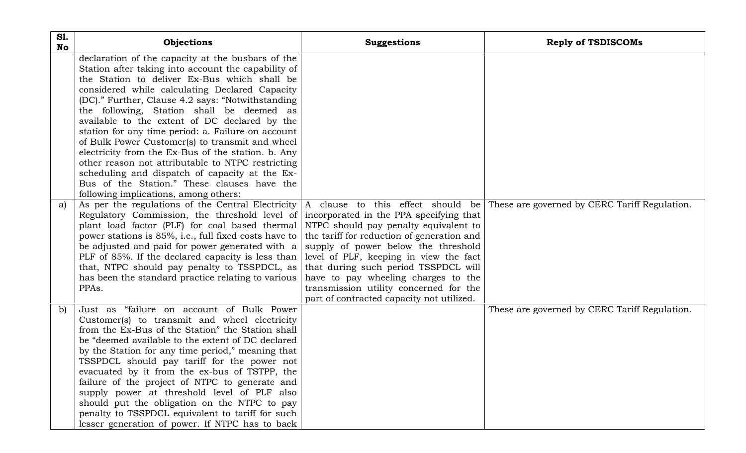| <b>S1.</b><br><b>No</b> | Objections                                                                                               | <b>Suggestions</b>                                                                | <b>Reply of TSDISCOMs</b>                     |
|-------------------------|----------------------------------------------------------------------------------------------------------|-----------------------------------------------------------------------------------|-----------------------------------------------|
|                         | declaration of the capacity at the busbars of the                                                        |                                                                                   |                                               |
|                         | Station after taking into account the capability of                                                      |                                                                                   |                                               |
|                         | the Station to deliver Ex-Bus which shall be                                                             |                                                                                   |                                               |
|                         | considered while calculating Declared Capacity                                                           |                                                                                   |                                               |
|                         | (DC)." Further, Clause 4.2 says: "Notwithstanding                                                        |                                                                                   |                                               |
|                         | the following, Station shall be deemed as                                                                |                                                                                   |                                               |
|                         | available to the extent of DC declared by the                                                            |                                                                                   |                                               |
|                         | station for any time period: a. Failure on account                                                       |                                                                                   |                                               |
|                         | of Bulk Power Customer(s) to transmit and wheel                                                          |                                                                                   |                                               |
|                         | electricity from the Ex-Bus of the station. b. Any                                                       |                                                                                   |                                               |
|                         | other reason not attributable to NTPC restricting                                                        |                                                                                   |                                               |
|                         | scheduling and dispatch of capacity at the Ex-                                                           |                                                                                   |                                               |
|                         | Bus of the Station." These clauses have the                                                              |                                                                                   |                                               |
|                         | following implications, among others:                                                                    |                                                                                   |                                               |
| a)                      | As per the regulations of the Central Electricity                                                        | A clause to this effect should be                                                 | These are governed by CERC Tariff Regulation. |
|                         | Regulatory Commission, the threshold level of                                                            | incorporated in the PPA specifying that                                           |                                               |
|                         | plant load factor (PLF) for coal based thermal                                                           | NTPC should pay penalty equivalent to                                             |                                               |
|                         | power stations is 85%, i.e., full fixed costs have to<br>be adjusted and paid for power generated with a | the tariff for reduction of generation and<br>supply of power below the threshold |                                               |
|                         | PLF of 85%. If the declared capacity is less than                                                        | level of PLF, keeping in view the fact                                            |                                               |
|                         | that, NTPC should pay penalty to TSSPDCL, as                                                             | that during such period TSSPDCL will                                              |                                               |
|                         | has been the standard practice relating to various                                                       | have to pay wheeling charges to the                                               |                                               |
|                         | PPAs.                                                                                                    | transmission utility concerned for the                                            |                                               |
|                         |                                                                                                          | part of contracted capacity not utilized.                                         |                                               |
| $\mathbf{b}$            | Just as "failure on account of Bulk Power                                                                |                                                                                   | These are governed by CERC Tariff Regulation. |
|                         | Customer(s) to transmit and wheel electricity                                                            |                                                                                   |                                               |
|                         | from the Ex-Bus of the Station" the Station shall                                                        |                                                                                   |                                               |
|                         | be "deemed available to the extent of DC declared                                                        |                                                                                   |                                               |
|                         | by the Station for any time period," meaning that                                                        |                                                                                   |                                               |
|                         | TSSPDCL should pay tariff for the power not                                                              |                                                                                   |                                               |
|                         | evacuated by it from the ex-bus of TSTPP, the                                                            |                                                                                   |                                               |
|                         | failure of the project of NTPC to generate and                                                           |                                                                                   |                                               |
|                         | supply power at threshold level of PLF also                                                              |                                                                                   |                                               |
|                         | should put the obligation on the NTPC to pay                                                             |                                                                                   |                                               |
|                         | penalty to TSSPDCL equivalent to tariff for such                                                         |                                                                                   |                                               |
|                         | lesser generation of power. If NTPC has to back                                                          |                                                                                   |                                               |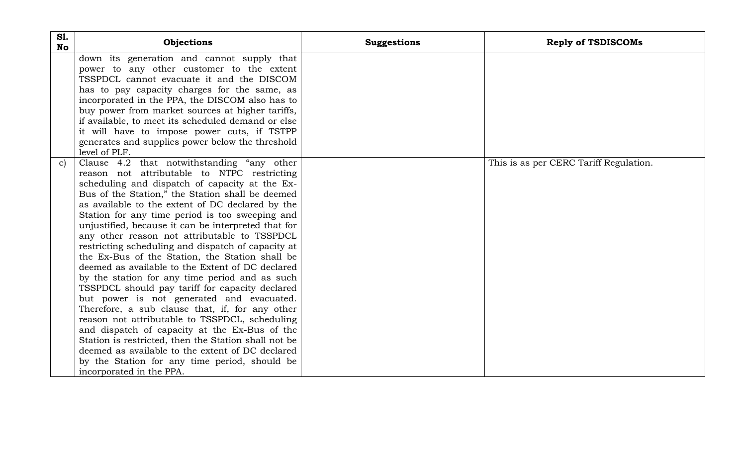| <b>S1.</b><br><b>No</b> | Objections                                                                                                                                                                                                                                                                                                                                                                                                                                                                                                                                                                                                                                                                                                                                                                                                                                                                                                                                                                                                                                                                  | <b>Suggestions</b> | <b>Reply of TSDISCOMs</b>              |
|-------------------------|-----------------------------------------------------------------------------------------------------------------------------------------------------------------------------------------------------------------------------------------------------------------------------------------------------------------------------------------------------------------------------------------------------------------------------------------------------------------------------------------------------------------------------------------------------------------------------------------------------------------------------------------------------------------------------------------------------------------------------------------------------------------------------------------------------------------------------------------------------------------------------------------------------------------------------------------------------------------------------------------------------------------------------------------------------------------------------|--------------------|----------------------------------------|
|                         | down its generation and cannot supply that<br>power to any other customer to the extent<br>TSSPDCL cannot evacuate it and the DISCOM<br>has to pay capacity charges for the same, as<br>incorporated in the PPA, the DISCOM also has to<br>buy power from market sources at higher tariffs,<br>if available, to meet its scheduled demand or else<br>it will have to impose power cuts, if TSTPP<br>generates and supplies power below the threshold<br>level of PLF.                                                                                                                                                                                                                                                                                                                                                                                                                                                                                                                                                                                                       |                    |                                        |
| c)                      | Clause 4.2 that notwithstanding "any other<br>reason not attributable to NTPC restricting<br>scheduling and dispatch of capacity at the Ex-<br>Bus of the Station," the Station shall be deemed<br>as available to the extent of DC declared by the<br>Station for any time period is too sweeping and<br>unjustified, because it can be interpreted that for<br>any other reason not attributable to TSSPDCL<br>restricting scheduling and dispatch of capacity at<br>the Ex-Bus of the Station, the Station shall be<br>deemed as available to the Extent of DC declared<br>by the station for any time period and as such<br>TSSPDCL should pay tariff for capacity declared<br>but power is not generated and evacuated.<br>Therefore, a sub clause that, if, for any other<br>reason not attributable to TSSPDCL, scheduling<br>and dispatch of capacity at the Ex-Bus of the<br>Station is restricted, then the Station shall not be<br>deemed as available to the extent of DC declared<br>by the Station for any time period, should be<br>incorporated in the PPA. |                    | This is as per CERC Tariff Regulation. |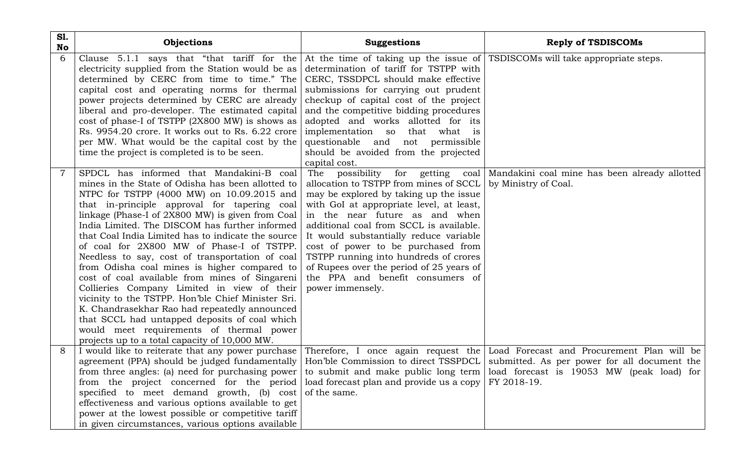| <b>S1.</b><br>No | Objections                                                                                                                                                                                                                                                                                                                                                                                                                                                                                                                                                                                                                                                                                                                                                                                                                                                    | <b>Suggestions</b>                                                                                                                                                                                                                                                                                                                                                                                                                                        | <b>Reply of TSDISCOMs</b>                                                              |
|------------------|---------------------------------------------------------------------------------------------------------------------------------------------------------------------------------------------------------------------------------------------------------------------------------------------------------------------------------------------------------------------------------------------------------------------------------------------------------------------------------------------------------------------------------------------------------------------------------------------------------------------------------------------------------------------------------------------------------------------------------------------------------------------------------------------------------------------------------------------------------------|-----------------------------------------------------------------------------------------------------------------------------------------------------------------------------------------------------------------------------------------------------------------------------------------------------------------------------------------------------------------------------------------------------------------------------------------------------------|----------------------------------------------------------------------------------------|
| 6                | Clause 5.1.1 says that "that tariff for the At the time of taking up the issue of TSDISCOMs will take appropriate steps.<br>electricity supplied from the Station would be as<br>determined by CERC from time to time." The<br>capital cost and operating norms for thermal<br>power projects determined by CERC are already<br>liberal and pro-developer. The estimated capital<br>cost of phase-I of TSTPP (2X800 MW) is shows as<br>Rs. 9954.20 crore. It works out to Rs. 6.22 crore<br>per MW. What would be the capital cost by the<br>time the project is completed is to be seen.                                                                                                                                                                                                                                                                     | determination of tariff for TSTPP with<br>CERC, TSSDPCL should make effective<br>submissions for carrying out prudent<br>checkup of capital cost of the project<br>and the competitive bidding procedures<br>adopted and works allotted for its<br>implementation so that what is<br>questionable and not permissible<br>should be avoided from the projected<br>capital cost.                                                                            |                                                                                        |
|                  | SPDCL has informed that Mandakini-B coal<br>mines in the State of Odisha has been allotted to<br>NTPC for TSTPP (4000 MW) on 10.09.2015 and<br>that in-principle approval for tapering coal<br>linkage (Phase-I of 2X800 MW) is given from Coal<br>India Limited. The DISCOM has further informed<br>that Coal India Limited has to indicate the source<br>of coal for 2X800 MW of Phase-I of TSTPP.<br>Needless to say, cost of transportation of coal<br>from Odisha coal mines is higher compared to<br>cost of coal available from mines of Singareni<br>Collieries Company Limited in view of their<br>vicinity to the TSTPP. Hon'ble Chief Minister Sri.<br>K. Chandrasekhar Rao had repeatedly announced<br>that SCCL had untapped deposits of coal which<br>would meet requirements of thermal power<br>projects up to a total capacity of 10,000 MW. | The possibility<br>allocation to TSTPP from mines of SCCL<br>may be explored by taking up the issue<br>with GoI at appropriate level, at least,<br>in the near future as and when<br>additional coal from SCCL is available.<br>It would substantially reduce variable<br>cost of power to be purchased from<br>TSTPP running into hundreds of crores<br>of Rupees over the period of 25 years of<br>the PPA and benefit consumers of<br>power immensely. | for getting coal Mandakini coal mine has been already allotted<br>by Ministry of Coal. |
| 8                | I would like to reiterate that any power purchase Therefore, I once again request the Load Forecast and Procurement Plan will be<br>agreement (PPA) should be judged fundamentally   Hon'ble Commission to direct TSSPDCL   submitted. As per power for all document the<br>from three angles: (a) need for purchasing power to submit and make public long term   load forecast is 19053 MW (peak load) for<br>from the project concerned for the period<br>specified to meet demand growth, (b) cost of the same.<br>effectiveness and various options available to get<br>power at the lowest possible or competitive tariff<br>in given circumstances, various options available                                                                                                                                                                          | load forecast plan and provide us a copy                                                                                                                                                                                                                                                                                                                                                                                                                  | FY 2018-19.                                                                            |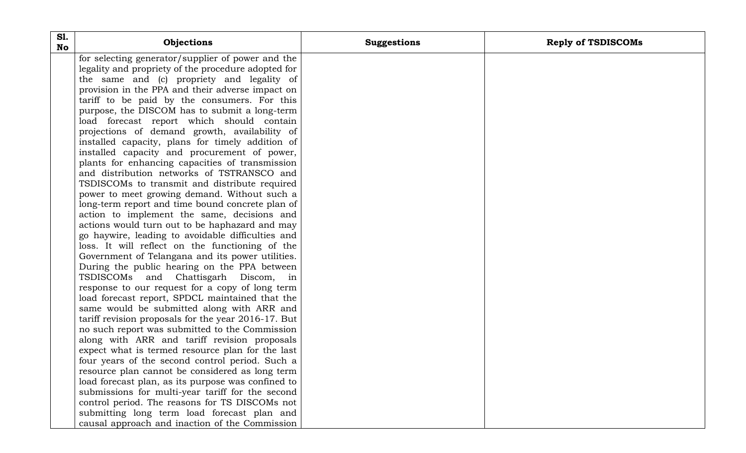| <b>S1.</b><br><b>No</b> | Objections                                          | <b>Suggestions</b> | <b>Reply of TSDISCOMs</b> |
|-------------------------|-----------------------------------------------------|--------------------|---------------------------|
|                         | for selecting generator/supplier of power and the   |                    |                           |
|                         | legality and propriety of the procedure adopted for |                    |                           |
|                         | the same and (c) propriety and legality of          |                    |                           |
|                         | provision in the PPA and their adverse impact on    |                    |                           |
|                         | tariff to be paid by the consumers. For this        |                    |                           |
|                         | purpose, the DISCOM has to submit a long-term       |                    |                           |
|                         | load forecast report which should contain           |                    |                           |
|                         | projections of demand growth, availability of       |                    |                           |
|                         | installed capacity, plans for timely addition of    |                    |                           |
|                         | installed capacity and procurement of power,        |                    |                           |
|                         | plants for enhancing capacities of transmission     |                    |                           |
|                         | and distribution networks of TSTRANSCO and          |                    |                           |
|                         | TSDISCOMs to transmit and distribute required       |                    |                           |
|                         | power to meet growing demand. Without such a        |                    |                           |
|                         | long-term report and time bound concrete plan of    |                    |                           |
|                         | action to implement the same, decisions and         |                    |                           |
|                         | actions would turn out to be haphazard and may      |                    |                           |
|                         | go haywire, leading to avoidable difficulties and   |                    |                           |
|                         | loss. It will reflect on the functioning of the     |                    |                           |
|                         | Government of Telangana and its power utilities.    |                    |                           |
|                         | During the public hearing on the PPA between        |                    |                           |
|                         | TSDISCOMs and Chattisgarh Discom, in                |                    |                           |
|                         | response to our request for a copy of long term     |                    |                           |
|                         | load forecast report, SPDCL maintained that the     |                    |                           |
|                         | same would be submitted along with ARR and          |                    |                           |
|                         | tariff revision proposals for the year 2016-17. But |                    |                           |
|                         | no such report was submitted to the Commission      |                    |                           |
|                         | along with ARR and tariff revision proposals        |                    |                           |
|                         | expect what is termed resource plan for the last    |                    |                           |
|                         | four years of the second control period. Such a     |                    |                           |
|                         | resource plan cannot be considered as long term     |                    |                           |
|                         | load forecast plan, as its purpose was confined to  |                    |                           |
|                         | submissions for multi-year tariff for the second    |                    |                           |
|                         | control period. The reasons for TS DISCOMs not      |                    |                           |
|                         | submitting long term load forecast plan and         |                    |                           |
|                         | causal approach and inaction of the Commission      |                    |                           |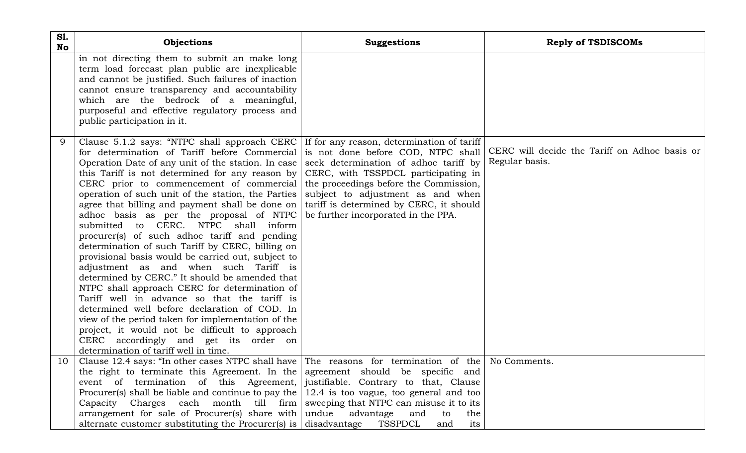| <b>S1.</b><br>No | Objections                                                                                                                                                                                                                                                                                                                                                                                                                                                                                                                                                                                                                                                                                                                                                                                                                                                                                                                                                                                                                                                                                                                                                                                                                                             | <b>Suggestions</b>                                                                                                  | <b>Reply of TSDISCOMs</b>                                       |
|------------------|--------------------------------------------------------------------------------------------------------------------------------------------------------------------------------------------------------------------------------------------------------------------------------------------------------------------------------------------------------------------------------------------------------------------------------------------------------------------------------------------------------------------------------------------------------------------------------------------------------------------------------------------------------------------------------------------------------------------------------------------------------------------------------------------------------------------------------------------------------------------------------------------------------------------------------------------------------------------------------------------------------------------------------------------------------------------------------------------------------------------------------------------------------------------------------------------------------------------------------------------------------|---------------------------------------------------------------------------------------------------------------------|-----------------------------------------------------------------|
|                  | in not directing them to submit an make long<br>term load forecast plan public are inexplicable<br>and cannot be justified. Such failures of inaction<br>cannot ensure transparency and accountability<br>which are the bedrock of a meaningful,<br>purposeful and effective regulatory process and<br>public participation in it.                                                                                                                                                                                                                                                                                                                                                                                                                                                                                                                                                                                                                                                                                                                                                                                                                                                                                                                     |                                                                                                                     |                                                                 |
| 9                | Clause 5.1.2 says: "NTPC shall approach CERC If for any reason, determination of tariff<br>for determination of Tariff before Commercial is not done before COD, NTPC shall<br>Operation Date of any unit of the station. In case seek determination of adhoc tariff by<br>this Tariff is not determined for any reason by $\vert$ CERC, with TSSPDCL participating in<br>CERC prior to commencement of commercial the proceedings before the Commission,<br>operation of such unit of the station, the Parties<br>agree that billing and payment shall be done on<br>adhoc basis as per the proposal of NTPC<br>submitted to CERC. NTPC shall inform<br>procurer(s) of such adhoc tariff and pending<br>determination of such Tariff by CERC, billing on<br>provisional basis would be carried out, subject to<br>adjustment as and when such Tariff is<br>determined by CERC." It should be amended that<br>NTPC shall approach CERC for determination of<br>Tariff well in advance so that the tariff is<br>determined well before declaration of COD. In<br>view of the period taken for implementation of the<br>project, it would not be difficult to approach<br>CERC accordingly and get its order on<br>determination of tariff well in time. | subject to adjustment as and when<br>tariff is determined by CERC, it should<br>be further incorporated in the PPA. | CERC will decide the Tariff on Adhoc basis or<br>Regular basis. |
| $10-1$           | Clause 12.4 says: "In other cases NTPC shall have $\vert$ The reasons for termination of the No Comments.<br>the right to terminate this Agreement. In the agreement should be specific and<br>event of termination of this Agreement, justifiable. Contrary to that, Clause<br>Procurer(s) shall be liable and continue to pay the $\vert$ 12.4 is too vague, too general and too<br>Capacity Charges each month till firm sweeping that NTPC can misuse it to its<br>arrangement for sale of Procurer(s) share with undue advantage<br>alternate customer substituting the Procurer(s) is $\vert$ disadvantage TSSPDCL                                                                                                                                                                                                                                                                                                                                                                                                                                                                                                                                                                                                                               | and<br>to<br>the<br>its<br>and                                                                                      |                                                                 |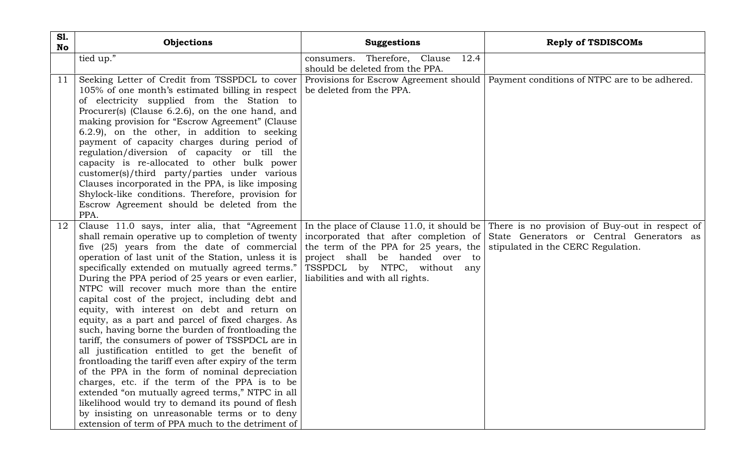| <b>S1.</b><br>No | Objections                                                                                                                                                                                                                                                                                                                                                                                                                                                                                                                                                                                                                                                                                                                                                                                                                                                                                                                                                                                                                                                                                                 | <b>Suggestions</b>                                                                                                                                                                    | <b>Reply of TSDISCOMs</b>                                                                                                         |
|------------------|------------------------------------------------------------------------------------------------------------------------------------------------------------------------------------------------------------------------------------------------------------------------------------------------------------------------------------------------------------------------------------------------------------------------------------------------------------------------------------------------------------------------------------------------------------------------------------------------------------------------------------------------------------------------------------------------------------------------------------------------------------------------------------------------------------------------------------------------------------------------------------------------------------------------------------------------------------------------------------------------------------------------------------------------------------------------------------------------------------|---------------------------------------------------------------------------------------------------------------------------------------------------------------------------------------|-----------------------------------------------------------------------------------------------------------------------------------|
|                  | tied up."                                                                                                                                                                                                                                                                                                                                                                                                                                                                                                                                                                                                                                                                                                                                                                                                                                                                                                                                                                                                                                                                                                  | consumers. Therefore, Clause<br>12.4<br>should be deleted from the PPA.                                                                                                               |                                                                                                                                   |
| 11               | Seeking Letter of Credit from TSSPDCL to cover<br>105% of one month's estimated billing in respect<br>of electricity supplied from the Station to<br>Procurer(s) (Clause 6.2.6), on the one hand, and<br>making provision for "Escrow Agreement" (Clause<br>6.2.9), on the other, in addition to seeking<br>payment of capacity charges during period of<br>regulation/diversion of capacity or till the<br>capacity is re-allocated to other bulk power<br>customer(s)/third party/parties under various<br>Clauses incorporated in the PPA, is like imposing<br>Shylock-like conditions. Therefore, provision for<br>Escrow Agreement should be deleted from the<br>PPA.                                                                                                                                                                                                                                                                                                                                                                                                                                 | Provisions for Escrow Agreement should<br>be deleted from the PPA.                                                                                                                    | Payment conditions of NTPC are to be adhered.                                                                                     |
| 12               | Clause 11.0 says, inter alia, that "Agreement In the place of Clause 11.0, it should be<br>shall remain operative up to completion of twenty<br>five (25) years from the date of commercial<br>operation of last unit of the Station, unless it is<br>specifically extended on mutually agreed terms."<br>During the PPA period of 25 years or even earlier,<br>NTPC will recover much more than the entire<br>capital cost of the project, including debt and<br>equity, with interest on debt and return on<br>equity, as a part and parcel of fixed charges. As<br>such, having borne the burden of frontloading the<br>tariff, the consumers of power of TSSPDCL are in<br>all justification entitled to get the benefit of<br>frontloading the tariff even after expiry of the term<br>of the PPA in the form of nominal depreciation<br>charges, etc. if the term of the PPA is to be<br>extended "on mutually agreed terms," NTPC in all<br>likelihood would try to demand its pound of flesh<br>by insisting on unreasonable terms or to deny<br>extension of term of PPA much to the detriment of | incorporated that after completion of<br>the term of the PPA for 25 years, the<br>project shall be handed over to<br>TSSPDCL by NTPC, without any<br>liabilities and with all rights. | There is no provision of Buy-out in respect of<br>State Generators or Central Generators as<br>stipulated in the CERC Regulation. |